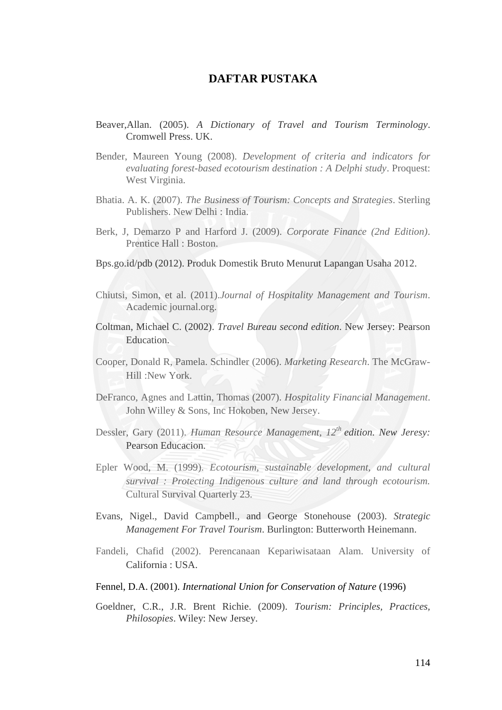## **DAFTAR PUSTAKA**

- Beaver,Allan. (2005). *A Dictionary of Travel and Tourism Terminology*. Cromwell Press. UK.
- Bender, Maureen Young (2008). *Development of criteria and indicators for evaluating forest-based ecotourism destination : A Delphi study*. Proquest: West Virginia.
- Bhatia. A. K. (2007). *The Business of Tourism: Concepts and Strategies*. Sterling Publishers. New Delhi : India.
- Berk, J, Demarzo P and Harford J. (2009). *Corporate Finance (2nd Edition)*. Prentice Hall : Boston.
- Bps.go.id/pdb (2012). Produk Domestik Bruto Menurut Lapangan Usaha 2012.
- Chiutsi, Simon, et al. (2011).*Journal of Hospitality Management and Tourism*. Academic journal.org.
- Coltman, Michael C. (2002). *Travel Bureau second edition*. New Jersey: Pearson Education.
- Cooper, Donald R, Pamela. Schindler (2006). *Marketing Research*. The McGraw-Hill :New York.
- DeFranco, Agnes and Lattin, Thomas (2007). *Hospitality Financial Management*. John Willey & Sons, Inc Hokoben, New Jersey.
- Dessler, Gary (2011). *Human Resource Management, 12th edition. New Jeresy:*  Pearson Educacion.
- Epler Wood, M. (1999). *Ecotourism, sustainable development, and cultural survival : Protecting Indigenous culture and land through ecotourism.*  Cultural Survival Quarterly 23.
- Evans, Nigel., David Campbell., and George Stonehouse (2003). *Strategic Management For Travel Tourism*. Burlington: Butterworth Heinemann.
- Fandeli, Chafid (2002). Perencanaan Kepariwisataan Alam. University of California : USA.

## Fennel, D.A. (2001). *International Union for Conservation of Nature* (1996)

Goeldner, C.R., J.R. Brent Richie. (2009). *Tourism: Principles, Practices, Philosopies*. Wiley: New Jersey.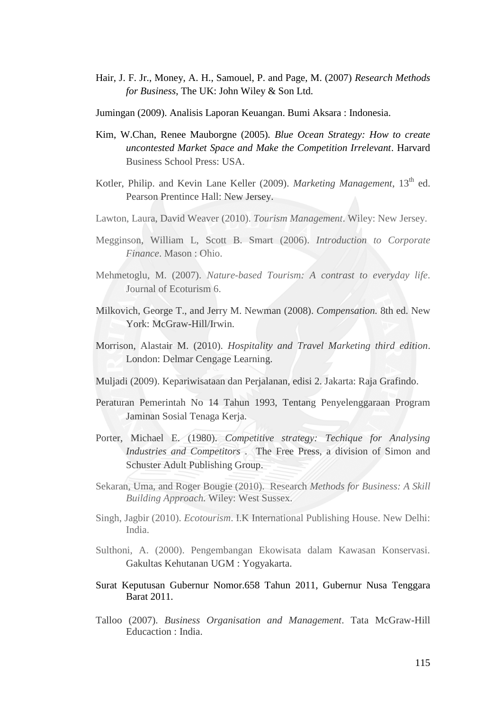- Hair, J. F. Jr., Money, A. H., Samouel, P. and Page, M. (2007) *Research Methods for Business*, The UK: John Wiley & Son Ltd.
- Jumingan (2009). Analisis Laporan Keuangan. Bumi Aksara : Indonesia.
- Kim, W.Chan, Renee Mauborgne (2005)*. Blue Ocean Strategy: How to create uncontested Market Space and Make the Competition Irrelevant*. Harvard Business School Press: USA.
- Kotler, Philip. and Kevin Lane Keller (2009). *Marketing Management*, 13<sup>th</sup> ed. Pearson Prentince Hall: New Jersey.
- Lawton, Laura, David Weaver (2010). *Tourism Management*. Wiley: New Jersey.
- Megginson, William L, Scott B. Smart (2006). *Introduction to Corporate Finance*. Mason : Ohio.
- Mehmetoglu, M. (2007). *Nature-based Tourism: A contrast to everyday life*. Journal of Ecoturism 6.
- Milkovich, George T., and Jerry M. Newman (2008). *Compensation.* 8th ed. New York: McGraw-Hill/Irwin.
- Morrison, Alastair M. (2010). *Hospitality and Travel Marketing third edition*. London: Delmar Cengage Learning.
- Muljadi (2009). Kepariwisataan dan Perjalanan, edisi 2. Jakarta: Raja Grafindo.
- Peraturan Pemerintah No 14 Tahun 1993, Tentang Penyelenggaraan Program Jaminan Sosial Tenaga Kerja.
- Porter, Michael E. (1980). *Competitive strategy: Techique for Analysing Industries and Competitors* . The Free Press, a division of Simon and Schuster Adult Publishing Group.
- Sekaran, Uma, and Roger Bougie (2010). Research *Methods for Business: A Skill Building Approach.* Wiley: West Sussex.
- Singh, Jagbir (2010). *Ecotourism*. I.K International Publishing House. New Delhi: India.
- Sulthoni, A. (2000). Pengembangan Ekowisata dalam Kawasan Konservasi. Gakultas Kehutanan UGM : Yogyakarta.
- Surat Keputusan Gubernur Nomor.658 Tahun 2011, Gubernur Nusa Tenggara Barat 2011.
- Talloo (2007). *Business Organisation and Management*. Tata McGraw-Hill Educaction : India.